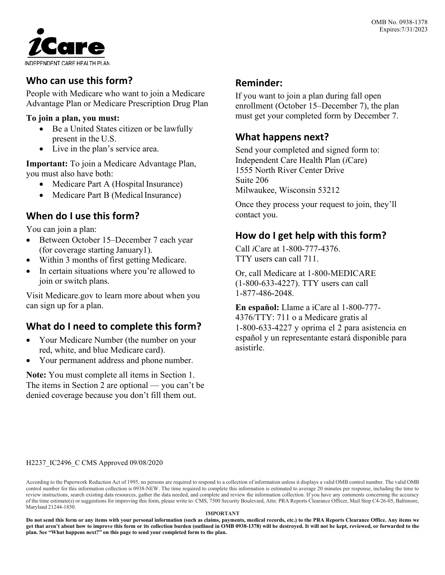

# **Who can use this form?**

People with Medicare who want to join a Medicare Advantage Plan or Medicare Prescription Drug Plan

#### **To join a plan, you must:**

- Be a United States citizen or be lawfully present in the U.S.
- Live in the plan's service area.

**Important:** To join a Medicare Advantage Plan, you must also have both:

- Medicare Part A (Hospital Insurance)
- Medicare Part B (Medical Insurance)

## **When do I use this form?**

You can join a plan:

- Between October 15–December 7 each year (for coverage starting January1).
- Within 3 months of first getting Medicare.
- In certain situations where you're allowed to join or switch plans.

Visit Medicare.gov to learn more about when you can sign up for a plan.

# **What do I need to complete this form?**

- Your Medicare Number (the number on your red, white, and blue Medicare card).
- Your permanent address and phone number.

**Note:** You must complete all items in Section 1. The items in Section 2 are optional — you can't be denied coverage because you don't fill them out.

## **Reminder:**

If you want to join a plan during fall open enrollment (October 15–December 7), the plan must get your completed form by December 7.

## **What happens next?**

Send your completed and signed form to: Independent Care Health Plan (*i*Care) 1555 North River Center Drive Suite 206 Milwaukee, Wisconsin 53212

Once they process your request to join, they'll contact you.

## **How do I get help with this form?**

Call *i*Care at 1-800-777-4376. TTY users can call 711.

Or, call Medicare at 1-800-MEDICARE (1-800-633-4227). TTY users can call 1-877-486-2048.

**En español:** Llame a iCare al 1-800-777- 4376/TTY: 711 o a Medicare gratis al 1-800-633-4227 y oprima el 2 para asistencia en español y un representante estará disponible para asistirle.

#### H2237\_IC2496\_C CMS Approved 09/08/2020

According to the Paperwork Reduction Act of 1995, no persons are required to respond to a collection of information unless it displays a valid OMB control number. The valid OMB control number for this information collection is 0938-NEW. The time required to complete this information is estimated to average 20 minutes per response, including the time to review instructions, search existing data resources, gather the data needed, and complete and review the information collection. If you have any comments concerning the accuracy of the time estimate(s) orsuggestions for improving this form, please write to: CMS, 7500 Security Boulevard, Attn: PRA Reports Clearance Officer, Mail Stop C4-26-05, Baltimore, Maryland 21244-1850.

#### **IMPORTANT**

**Do not send this form or any items with your personal information (such as claims, payments, medical records, etc.) to the PRA Reports Clearance Office. Any items we get that aren't about how to improve this form or its collection burden (outlined in OMB 0938-1378) will be destroyed. It will not be kept, reviewed, or forwarded to the plan. See "What happens next?" on this page to send your completed form to the plan.**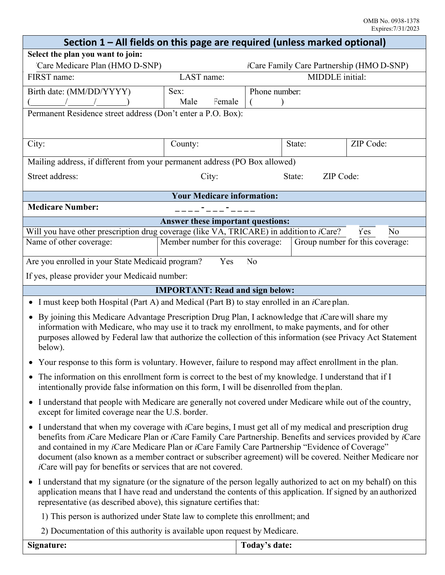| Section 1 – All fields on this page are required (unless marked optional)                                                                                                                                                                                                                                                                                                                                                                                                                                                                                                |                                        |                |                     |                                                  |
|--------------------------------------------------------------------------------------------------------------------------------------------------------------------------------------------------------------------------------------------------------------------------------------------------------------------------------------------------------------------------------------------------------------------------------------------------------------------------------------------------------------------------------------------------------------------------|----------------------------------------|----------------|---------------------|--------------------------------------------------|
| Select the plan you want to join:                                                                                                                                                                                                                                                                                                                                                                                                                                                                                                                                        |                                        |                |                     |                                                  |
| Care Medicare Plan (HMO D-SNP)                                                                                                                                                                                                                                                                                                                                                                                                                                                                                                                                           |                                        |                |                     | <i>iCare Family Care Partnership (HMO D-SNP)</i> |
| FIRST name:                                                                                                                                                                                                                                                                                                                                                                                                                                                                                                                                                              | LAST name:                             |                | MIDDLE initial:     |                                                  |
| Birth date: (MM/DD/YYYY)                                                                                                                                                                                                                                                                                                                                                                                                                                                                                                                                                 | Sex:                                   | Phone number:  |                     |                                                  |
|                                                                                                                                                                                                                                                                                                                                                                                                                                                                                                                                                                          | Male<br>Female                         |                |                     |                                                  |
| Permanent Residence street address (Don't enter a P.O. Box):                                                                                                                                                                                                                                                                                                                                                                                                                                                                                                             |                                        |                |                     |                                                  |
|                                                                                                                                                                                                                                                                                                                                                                                                                                                                                                                                                                          |                                        |                |                     |                                                  |
| City:                                                                                                                                                                                                                                                                                                                                                                                                                                                                                                                                                                    | County:                                |                | State:              | ZIP Code:                                        |
| Mailing address, if different from your permanent address (PO Box allowed)                                                                                                                                                                                                                                                                                                                                                                                                                                                                                               |                                        |                |                     |                                                  |
| Street address:                                                                                                                                                                                                                                                                                                                                                                                                                                                                                                                                                          | City:                                  |                | ZIP Code:<br>State: |                                                  |
| <b>Your Medicare information:</b>                                                                                                                                                                                                                                                                                                                                                                                                                                                                                                                                        |                                        |                |                     |                                                  |
| <b>Medicare Number:</b>                                                                                                                                                                                                                                                                                                                                                                                                                                                                                                                                                  |                                        |                |                     |                                                  |
|                                                                                                                                                                                                                                                                                                                                                                                                                                                                                                                                                                          | Answer these important questions:      |                |                     |                                                  |
| Will you have other prescription drug coverage (like VA, TRICARE) in addition to <i>i</i> Care?<br>N <sub>0</sub><br>Yes                                                                                                                                                                                                                                                                                                                                                                                                                                                 |                                        |                |                     |                                                  |
| Name of other coverage:                                                                                                                                                                                                                                                                                                                                                                                                                                                                                                                                                  | Member number for this coverage:       |                |                     | Group number for this coverage:                  |
| Are you enrolled in your State Medicaid program?                                                                                                                                                                                                                                                                                                                                                                                                                                                                                                                         | Yes                                    | N <sub>0</sub> |                     |                                                  |
| If yes, please provider your Medicaid number:                                                                                                                                                                                                                                                                                                                                                                                                                                                                                                                            |                                        |                |                     |                                                  |
|                                                                                                                                                                                                                                                                                                                                                                                                                                                                                                                                                                          | <b>IMPORTANT: Read and sign below:</b> |                |                     |                                                  |
| • I must keep both Hospital (Part A) and Medical (Part B) to stay enrolled in an <i>i</i> Care plan.                                                                                                                                                                                                                                                                                                                                                                                                                                                                     |                                        |                |                     |                                                  |
| • By joining this Medicare Advantage Prescription Drug Plan, I acknowledge that <i>i</i> Care will share my<br>information with Medicare, who may use it to track my enrollment, to make payments, and for other<br>purposes allowed by Federal law that authorize the collection of this information (see Privacy Act Statement<br>below).                                                                                                                                                                                                                              |                                        |                |                     |                                                  |
| Your response to this form is voluntary. However, failure to respond may affect enrollment in the plan.                                                                                                                                                                                                                                                                                                                                                                                                                                                                  |                                        |                |                     |                                                  |
| The information on this enrollment form is correct to the best of my knowledge. I understand that if I<br>intentionally provide false information on this form, I will be disenrolled from the plan.                                                                                                                                                                                                                                                                                                                                                                     |                                        |                |                     |                                                  |
| • I understand that people with Medicare are generally not covered under Medicare while out of the country,<br>except for limited coverage near the U.S. border.                                                                                                                                                                                                                                                                                                                                                                                                         |                                        |                |                     |                                                  |
| I understand that when my coverage with <i>i</i> Care begins, I must get all of my medical and prescription drug<br>$\bullet$<br>benefits from <i>iCare</i> Medicare Plan or <i>iCare</i> Family Care Partnership. Benefits and services provided by <i>iCare</i><br>and contained in my <i>i</i> Care Medicare Plan or <i>iCare Family Care Partnership</i> "Evidence of Coverage"<br>document (also known as a member contract or subscriber agreement) will be covered. Neither Medicare nor<br><i>i</i> Care will pay for benefits or services that are not covered. |                                        |                |                     |                                                  |
| I understand that my signature (or the signature of the person legally authorized to act on my behalf) on this<br>application means that I have read and understand the contents of this application. If signed by an authorized<br>representative (as described above), this signature certifies that:                                                                                                                                                                                                                                                                  |                                        |                |                     |                                                  |
| 1) This person is authorized under State law to complete this enrollment; and                                                                                                                                                                                                                                                                                                                                                                                                                                                                                            |                                        |                |                     |                                                  |
| 2) Documentation of this authority is available upon request by Medicare.                                                                                                                                                                                                                                                                                                                                                                                                                                                                                                |                                        |                |                     |                                                  |

| Signature: | Today's date: |
|------------|---------------|
|            |               |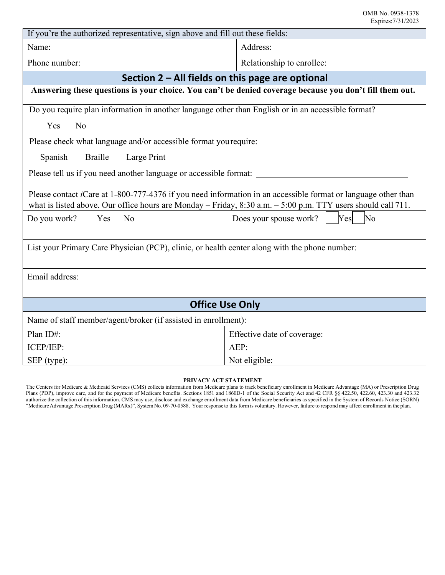| If you're the authorized representative, sign above and fill out these fields:                                                                                                                                                           |                                                 |  |  |  |
|------------------------------------------------------------------------------------------------------------------------------------------------------------------------------------------------------------------------------------------|-------------------------------------------------|--|--|--|
| Name:                                                                                                                                                                                                                                    | Address:                                        |  |  |  |
| Phone number:                                                                                                                                                                                                                            | Relationship to enrollee:                       |  |  |  |
| Section $2 - All fields on this page are optional$                                                                                                                                                                                       |                                                 |  |  |  |
| Answering these questions is your choice. You can't be denied coverage because you don't fill them out.                                                                                                                                  |                                                 |  |  |  |
| Do you require plan information in another language other than English or in an accessible format?                                                                                                                                       |                                                 |  |  |  |
| N <sub>o</sub><br>Yes                                                                                                                                                                                                                    |                                                 |  |  |  |
| Please check what language and/or accessible format you require:                                                                                                                                                                         |                                                 |  |  |  |
| <b>Braille</b><br>Large Print<br>Spanish                                                                                                                                                                                                 |                                                 |  |  |  |
| Please tell us if you need another language or accessible format:                                                                                                                                                                        |                                                 |  |  |  |
| Please contact <i>i</i> Care at 1-800-777-4376 if you need information in an accessible format or language other than<br>what is listed above. Our office hours are Monday - Friday, $8:30$ a.m. $-5:00$ p.m. TTY users should call 711. |                                                 |  |  |  |
| N <sub>o</sub><br>Do you work?<br>Yes                                                                                                                                                                                                    | N <sub>o</sub><br>Does your spouse work?<br>Yes |  |  |  |
| List your Primary Care Physician (PCP), clinic, or health center along with the phone number:                                                                                                                                            |                                                 |  |  |  |
| Email address:                                                                                                                                                                                                                           |                                                 |  |  |  |
| <b>Office Use Only</b>                                                                                                                                                                                                                   |                                                 |  |  |  |
| Name of staff member/agent/broker (if assisted in enrollment):                                                                                                                                                                           |                                                 |  |  |  |
| Plan ID#:                                                                                                                                                                                                                                | Effective date of coverage:                     |  |  |  |
| ICEP/IEP:                                                                                                                                                                                                                                | $AEP$ :                                         |  |  |  |
| SEP (type):                                                                                                                                                                                                                              | Not eligible:                                   |  |  |  |

#### **PRIVACY ACT STATEMENT**

The Centers for Medicare & Medicaid Services (CMS) collects information from Medicare plans to track beneficiary enrollment in Medicare Advantage (MA) or Prescription Drug Plans (PDP), improve care, and for the payment of Medicare benefits. Sections 1851 and 1860D-1 of the Social Security Act and 42 CFR §§ 422.50, 422.60, 423.30 and 423.32 authorize the collection of this information. CMS may use, disclose and exchange enrollment data from Medicare beneficiaries as specified in the System of Records Notice (SORN) "MedicareAdvantage Prescription Drug (MARx)", System No. 09-70-0588. Your response to this form is voluntary. However, failure to respond may affect enrollment in the plan.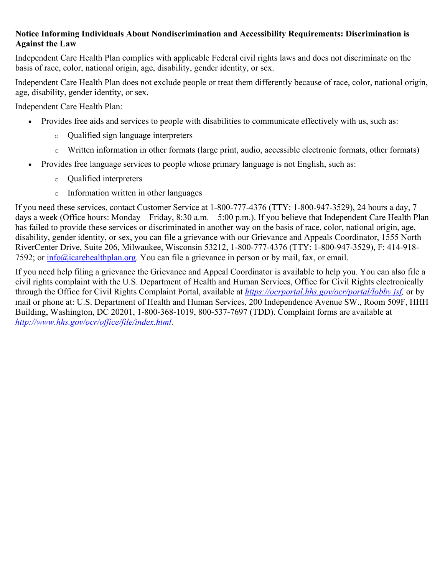#### **Notice Informing Individuals About Nondiscrimination and Accessibility Requirements: Discrimination is Against the Law**

Independent Care Health Plan complies with applicable Federal civil rights laws and does not discriminate on the basis of race, color, national origin, age, disability, gender identity, or sex.

Independent Care Health Plan does not exclude people or treat them differently because of race, color, national origin, age, disability, gender identity, or sex.

Independent Care Health Plan:

- Provides free aids and services to people with disabilities to communicate effectively with us, such as:
	- o Qualified sign language interpreters
	- o Written information in other formats (large print, audio, accessible electronic formats, other formats)
- Provides free language services to people whose primary language is not English, such as:
	- o Qualified interpreters
	- o Information written in other languages

If you need these services, contact Customer Service at 1-800-777-4376 (TTY: 1-800-947-3529), 24 hours a day, 7 days a week (Office hours: Monday – Friday, 8:30 a.m. – 5:00 p.m.). If you believe that Independent Care Health Plan has failed to provide these services or discriminated in another way on the basis of race, color, national origin, age, disability, gender identity, or sex, you can file a grievance with our Grievance and Appeals Coordinator, 1555 North RiverCenter Drive, Suite 206, Milwaukee, Wisconsin 53212, 1-800-777-4376 (TTY: 1-800-947-3529), F: 414-918- 7592; or [info@icarehealthplan.org.](mailto:info@icarehealthplan.org) You can file a grievance in person or by mail, fax, or email.

If you need help filing a grievance the Grievance and Appeal Coordinator is available to help you. You can also file a civil rights complaint with the U.S. Department of Health and Human Services, Office for Civil Rights electronically through the Office for Civil Rights Complaint Portal, available at *[https://ocrportal.hhs.gov/ocr/portal/lobby.jsf,](https://ocrportal.hhs.gov/ocr/portal/lobby.jsf)* or by mail or phone at: U.S. Department of Health and Human Services, 200 Independence Avenue SW., Room 509F, HHH Building, Washington, DC 20201, 1-800-368-1019, 800-537-7697 (TDD). Complaint forms are available at *[http://www.hhs.gov/ocr/office/file/index.html.](http://www.hhs.gov/ocr/office/file/index.html)*